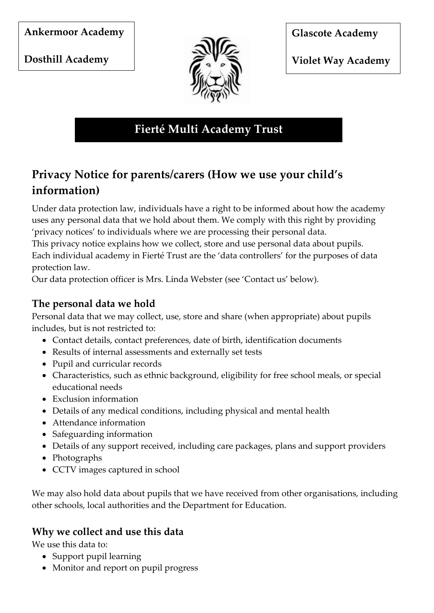**Ankermoor Academy** 

**Dosthill Academy** 



**Glascote Academy** 

**Violet Way Academy** 

**Fierté Multi Academy Trust**

# **Privacy Notice for parents/carers (How we use your child's information)**

Under data protection law, individuals have a right to be informed about how the academy uses any personal data that we hold about them. We comply with this right by providing 'privacy notices' to individuals where we are processing their personal data.

This privacy notice explains how we collect, store and use personal data about pupils. Each individual academy in Fierté Trust are the 'data controllers' for the purposes of data protection law.

Our data protection officer is Mrs. Linda Webster (see 'Contact us' below).

# **The personal data we hold**

Personal data that we may collect, use, store and share (when appropriate) about pupils includes, but is not restricted to:

- Contact details, contact preferences, date of birth, identification documents
- Results of internal assessments and externally set tests
- Pupil and curricular records
- Characteristics, such as ethnic background, eligibility for free school meals, or special educational needs
- Exclusion information
- Details of any medical conditions, including physical and mental health
- Attendance information
- Safeguarding information
- Details of any support received, including care packages, plans and support providers
- Photographs
- CCTV images captured in school

We may also hold data about pupils that we have received from other organisations, including other schools, local authorities and the Department for Education.

# **Why we collect and use this data**

We use this data to:

- Support pupil learning
- Monitor and report on pupil progress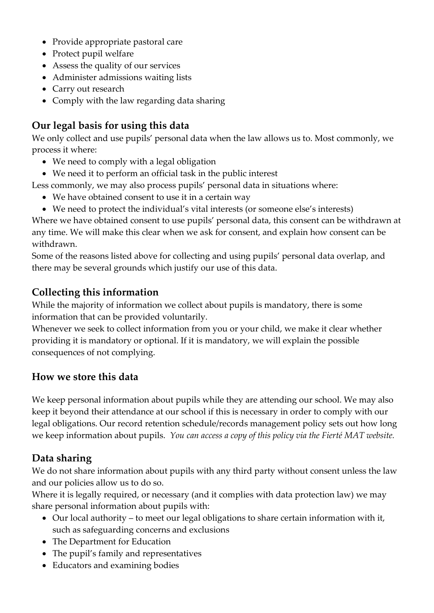- Provide appropriate pastoral care
- Protect pupil welfare
- Assess the quality of our services
- Administer admissions waiting lists
- Carry out research
- Comply with the law regarding data sharing

#### **Our legal basis for using this data**

We only collect and use pupils' personal data when the law allows us to. Most commonly, we process it where:

- We need to comply with a legal obligation
- We need it to perform an official task in the public interest

Less commonly, we may also process pupils' personal data in situations where:

- We have obtained consent to use it in a certain way
- We need to protect the individual's vital interests (or someone else's interests)

Where we have obtained consent to use pupils' personal data, this consent can be withdrawn at any time. We will make this clear when we ask for consent, and explain how consent can be withdrawn.

Some of the reasons listed above for collecting and using pupils' personal data overlap, and there may be several grounds which justify our use of this data.

#### **Collecting this information**

While the majority of information we collect about pupils is mandatory, there is some information that can be provided voluntarily.

Whenever we seek to collect information from you or your child, we make it clear whether providing it is mandatory or optional. If it is mandatory, we will explain the possible consequences of not complying.

#### **How we store this data**

We keep personal information about pupils while they are attending our school. We may also keep it beyond their attendance at our school if this is necessary in order to comply with our legal obligations. Our record retention schedule/records management policy sets out how long we keep information about pupils. *You can access a copy of this policy via the Fierté MAT website.*

#### **Data sharing**

We do not share information about pupils with any third party without consent unless the law and our policies allow us to do so.

Where it is legally required, or necessary (and it complies with data protection law) we may share personal information about pupils with:

- Our local authority to meet our legal obligations to share certain information with it, such as safeguarding concerns and exclusions
- The Department for Education
- The pupil's family and representatives
- Educators and examining bodies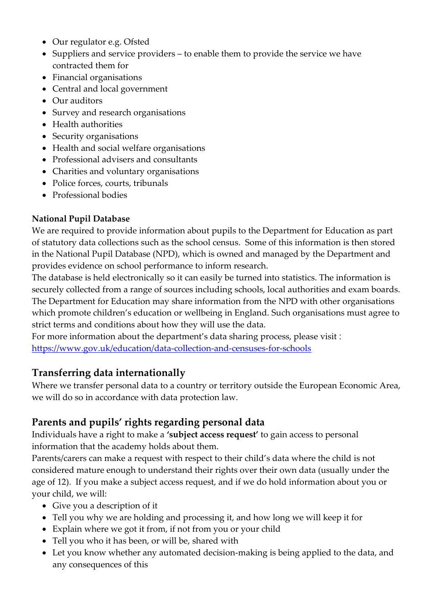- Our regulator e.g. Ofsted
- Suppliers and service providers to enable them to provide the service we have contracted them for
- Financial organisations
- Central and local government
- Our auditors
- Survey and research organisations
- Health authorities
- Security organisations
- Health and social welfare organisations
- Professional advisers and consultants
- Charities and voluntary organisations
- Police forces, courts, tribunals
- Professional bodies

#### **National Pupil Database**

We are required to provide information about pupils to the Department for Education as part of statutory data collections such as the school census. Some of this information is then stored in the [National Pupil Database](https://www.gov.uk/government/publications/national-pupil-database-user-guide-and-supporting-information) (NPD), which is owned and managed by the Department and provides evidence on school performance to inform research.

The database is held electronically so it can easily be turned into statistics. The information is securely collected from a range of sources including schools, local authorities and exam boards. The Department for Education may share information from the NPD with other organisations which promote children's education or wellbeing in England. Such organisations must agree to strict terms and conditions about how they will use the data.

For more information about the department's data sharing process, please visit : <https://www.gov.uk/education/data-collection-and-censuses-for-schools>

### **Transferring data internationally**

Where we transfer personal data to a country or territory outside the European Economic Area, we will do so in accordance with data protection law.

### **Parents and pupils' rights regarding personal data**

Individuals have a right to make a **'subject access request'** to gain access to personal information that the academy holds about them.

Parents/carers can make a request with respect to their child's data where the child is not considered mature enough to understand their rights over their own data (usually under the age of 12). If you make a subject access request, and if we do hold information about you or your child, we will:

- Give you a description of it
- Tell you why we are holding and processing it, and how long we will keep it for
- Explain where we got it from, if not from you or your child
- Tell you who it has been, or will be, shared with
- Let you know whether any automated decision-making is being applied to the data, and any consequences of this